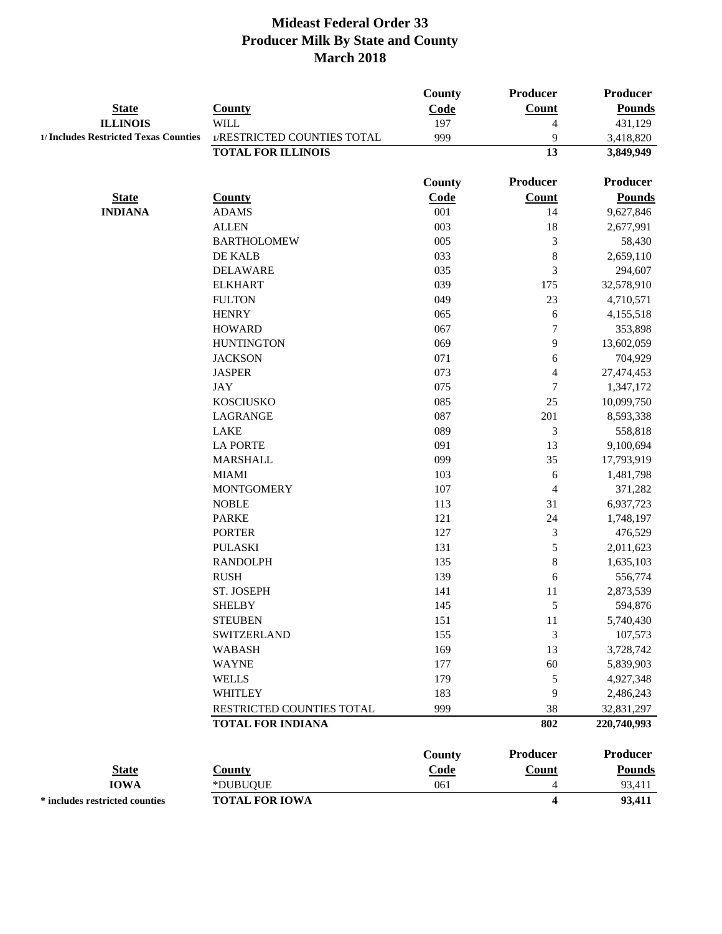|                                       |                             | County        | Producer                | Producer        |
|---------------------------------------|-----------------------------|---------------|-------------------------|-----------------|
| <b>State</b>                          | <b>County</b>               | Code          | Count                   | <b>Pounds</b>   |
| <b>ILLINOIS</b>                       | <b>WILL</b>                 | 197           | $\overline{4}$          | 431,129         |
| 1/ Includes Restricted Texas Counties | 1/RESTRICTED COUNTIES TOTAL | 999           | 9                       | 3,418,820       |
|                                       | <b>TOTAL FOR ILLINOIS</b>   |               | 13                      | 3,849,949       |
|                                       |                             | <b>County</b> | Producer                | <b>Producer</b> |
| <b>State</b>                          | <b>County</b>               | Code          | <b>Count</b>            | <b>Pounds</b>   |
| <b>INDIANA</b>                        | <b>ADAMS</b>                | 001           | 14                      | 9,627,846       |
|                                       | <b>ALLEN</b>                | 003           | 18                      | 2,677,991       |
|                                       | <b>BARTHOLOMEW</b>          | 005           | 3                       | 58,430          |
|                                       | DE KALB                     | 033           | $\,$ 8 $\,$             | 2,659,110       |
|                                       | <b>DELAWARE</b>             | 035           | 3                       | 294,607         |
|                                       | <b>ELKHART</b>              | 039           | 175                     | 32,578,910      |
|                                       | <b>FULTON</b>               | 049           | 23                      | 4,710,571       |
|                                       | <b>HENRY</b>                | 065           | $\sqrt{6}$              | 4,155,518       |
|                                       | <b>HOWARD</b>               | 067           | $\tau$                  | 353,898         |
|                                       | <b>HUNTINGTON</b>           | 069           | 9                       | 13,602,059      |
|                                       | <b>JACKSON</b>              | 071           | $\sqrt{6}$              | 704,929         |
|                                       | <b>JASPER</b>               | 073           | $\overline{4}$          | 27,474,453      |
|                                       | <b>JAY</b>                  | 075           | $\tau$                  | 1,347,172       |
|                                       | <b>KOSCIUSKO</b>            | 085           | 25                      | 10,099,750      |
|                                       | LAGRANGE                    | 087           | 201                     | 8,593,338       |
|                                       | LAKE                        | 089           | 3                       | 558,818         |
|                                       | <b>LA PORTE</b>             | 091           | 13                      | 9,100,694       |
|                                       | <b>MARSHALL</b>             | 099           | 35                      | 17,793,919      |
|                                       | <b>MIAMI</b>                | 103           | 6                       | 1,481,798       |
|                                       | <b>MONTGOMERY</b>           | 107           | $\overline{4}$          | 371,282         |
|                                       | <b>NOBLE</b>                | 113           | 31                      | 6,937,723       |
|                                       | <b>PARKE</b>                | 121           | 24                      | 1,748,197       |
|                                       | <b>PORTER</b>               | 127           | 3                       | 476,529         |
|                                       | <b>PULASKI</b>              | 131           | 5                       | 2,011,623       |
|                                       | <b>RANDOLPH</b>             | 135           | $\,$ 8 $\,$             | 1,635,103       |
|                                       | <b>RUSH</b>                 | 139           | $\sqrt{6}$              | 556,774         |
|                                       | ST. JOSEPH                  | 141           | 11                      | 2,873,539       |
|                                       | <b>SHELBY</b>               | 145           | 5                       | 594,876         |
|                                       | <b>STEUBEN</b>              | 151           | 11                      | 5,740,430       |
|                                       | <b>SWITZERLAND</b>          | 155           | 3                       | 107,573         |
|                                       | <b>WABASH</b>               | 169           | 13                      | 3,728,742       |
|                                       | <b>WAYNE</b>                | 177           | 60                      | 5,839,903       |
|                                       | <b>WELLS</b>                | 179           | 5                       | 4,927,348       |
|                                       | WHITLEY                     | 183           | 9                       | 2,486,243       |
|                                       | RESTRICTED COUNTIES TOTAL   | 999           | 38                      | 32,831,297      |
|                                       | <b>TOTAL FOR INDIANA</b>    |               | 802                     | 220,740,993     |
|                                       |                             |               |                         |                 |
|                                       |                             | County        | <b>Producer</b>         | <b>Producer</b> |
| <b>State</b>                          | <b>County</b>               | Code          | Count                   | <b>Pounds</b>   |
| <b>IOWA</b>                           | *DUBUQUE                    | 061           | 4                       | 93,411          |
| * includes restricted counties        | <b>TOTAL FOR IOWA</b>       |               | $\overline{\mathbf{4}}$ | 93,411          |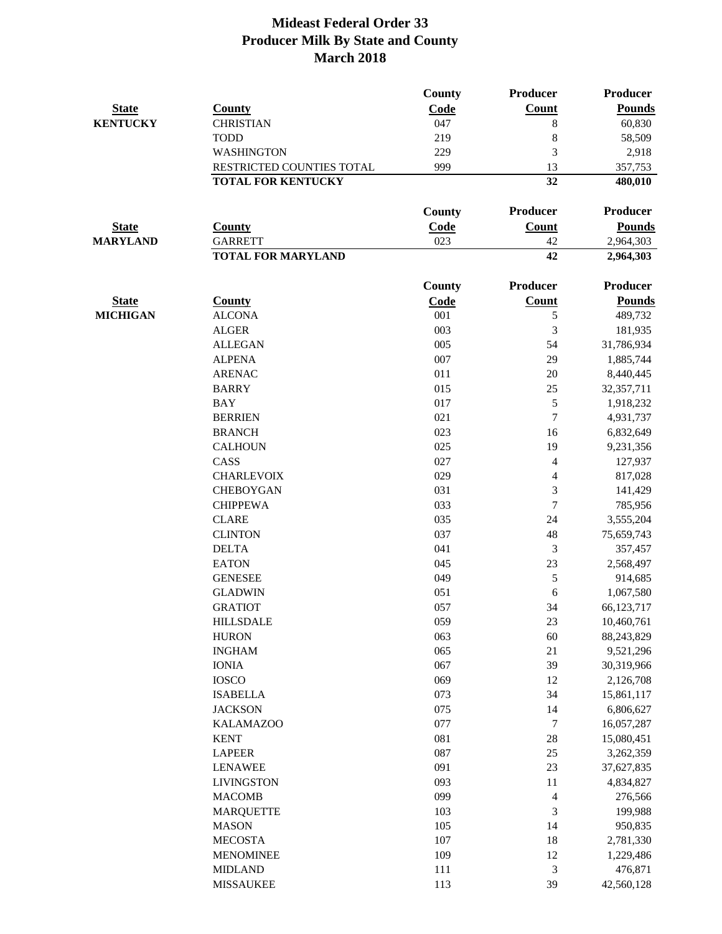|                 |                           | <b>County</b> | Producer                    | <b>Producer</b> |
|-----------------|---------------------------|---------------|-----------------------------|-----------------|
| <b>State</b>    | <b>County</b>             | Code          | <b>Count</b>                | <b>Pounds</b>   |
| <b>KENTUCKY</b> | <b>CHRISTIAN</b>          | 047           | 8                           | 60,830          |
|                 | <b>TODD</b>               | 219           | 8                           | 58,509          |
|                 | <b>WASHINGTON</b>         | 229           | 3                           | 2,918           |
|                 | RESTRICTED COUNTIES TOTAL | 999           | 13                          | 357,753         |
|                 | <b>TOTAL FOR KENTUCKY</b> |               | 32                          | 480,010         |
|                 |                           | <b>County</b> | Producer                    | <b>Producer</b> |
| <b>State</b>    | <b>County</b>             | Code          | Count                       | <b>Pounds</b>   |
| <b>MARYLAND</b> | <b>GARRETT</b>            | 023           | 42                          | 2,964,303       |
|                 | <b>TOTAL FOR MARYLAND</b> |               | 42                          | 2,964,303       |
|                 |                           | <b>County</b> | Producer                    | <b>Producer</b> |
| <b>State</b>    | <b>County</b>             | Code          | Count                       | <b>Pounds</b>   |
| <b>MICHIGAN</b> | <b>ALCONA</b>             | 001           | $\mathfrak s$               | 489,732         |
|                 | <b>ALGER</b>              | 003           | 3                           | 181,935         |
|                 | <b>ALLEGAN</b>            | 005           | 54                          | 31,786,934      |
|                 | <b>ALPENA</b>             | 007           | 29                          | 1,885,744       |
|                 | <b>ARENAC</b>             | 011           | 20                          | 8,440,445       |
|                 | <b>BARRY</b>              | 015           | 25                          | 32,357,711      |
|                 | <b>BAY</b>                | 017           | 5                           | 1,918,232       |
|                 | <b>BERRIEN</b>            | 021           | $\boldsymbol{7}$            | 4,931,737       |
|                 | <b>BRANCH</b>             | 023           | 16                          | 6,832,649       |
|                 | <b>CALHOUN</b>            | 025           | 19                          | 9,231,356       |
|                 | CASS                      | 027           | $\overline{4}$              | 127,937         |
|                 | <b>CHARLEVOIX</b>         | 029           | $\overline{4}$              | 817,028         |
|                 | <b>CHEBOYGAN</b>          | 031           | 3                           | 141,429         |
|                 | <b>CHIPPEWA</b>           | 033           | $\tau$                      | 785,956         |
|                 | <b>CLARE</b>              | 035           | 24                          | 3,555,204       |
|                 | <b>CLINTON</b>            | 037           | 48                          | 75,659,743      |
|                 | <b>DELTA</b>              | 041           | $\mathfrak{Z}$              | 357,457         |
|                 | <b>EATON</b>              | 045           | 23                          | 2,568,497       |
|                 | <b>GENESEE</b>            | 049           | $\mathfrak s$               | 914,685         |
|                 | <b>GLADWIN</b>            | 051           | 6                           | 1,067,580       |
|                 | <b>GRATIOT</b>            | 057           | 34                          | 66,123,717      |
|                 | <b>HILLSDALE</b>          | 059           | 23                          | 10,460,761      |
|                 | <b>HURON</b>              | 063           | 60                          | 88,243,829      |
|                 | <b>INGHAM</b>             | 065           | 21                          | 9,521,296       |
|                 | <b>IONIA</b>              | 067           | 39                          | 30,319,966      |
|                 | <b>IOSCO</b>              | 069           | 12                          | 2,126,708       |
|                 | <b>ISABELLA</b>           | 073           | 34                          | 15,861,117      |
|                 | <b>JACKSON</b>            | 075           | 14                          | 6,806,627       |
|                 | <b>KALAMAZOO</b>          | 077           | $\tau$                      | 16,057,287      |
|                 | <b>KENT</b>               | 081           | 28                          | 15,080,451      |
|                 | <b>LAPEER</b>             | 087           | 25                          | 3,262,359       |
|                 | <b>LENAWEE</b>            | 091           | 23                          | 37,627,835      |
|                 | <b>LIVINGSTON</b>         | 093           | 11                          | 4,834,827       |
|                 | <b>MACOMB</b>             | 099           | $\overline{4}$              | 276,566         |
|                 | <b>MARQUETTE</b>          | 103           | $\mathfrak{Z}$              | 199,988         |
|                 | <b>MASON</b>              | 105           | 14                          | 950,835         |
|                 | <b>MECOSTA</b>            | 107           | 18                          | 2,781,330       |
|                 | <b>MENOMINEE</b>          | 109           | 12                          | 1,229,486       |
|                 | <b>MIDLAND</b>            | 111           | $\ensuremath{\mathfrak{Z}}$ | 476,871         |
|                 | <b>MISSAUKEE</b>          | 113           | 39                          | 42,560,128      |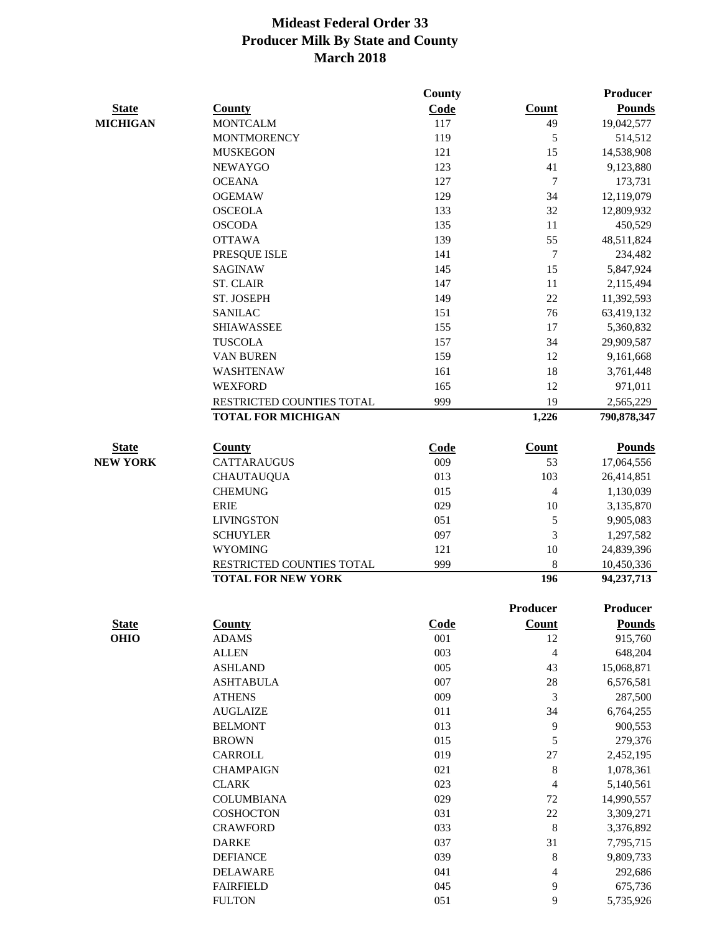|                                             |                           | County |                  | <b>Producer</b> |
|---------------------------------------------|---------------------------|--------|------------------|-----------------|
| <b>State</b>                                | <b>County</b>             | Code   | <b>Count</b>     | <b>Pounds</b>   |
| <b>MICHIGAN</b>                             | <b>MONTCALM</b>           | 117    | 49               | 19,042,577      |
|                                             | <b>MONTMORENCY</b>        | 119    | 5                | 514,512         |
|                                             | <b>MUSKEGON</b>           | 121    | 15               | 14,538,908      |
|                                             | <b>NEWAYGO</b>            | 123    | 41               | 9,123,880       |
|                                             | <b>OCEANA</b>             | 127    | $\boldsymbol{7}$ | 173,731         |
|                                             | <b>OGEMAW</b>             | 129    | 34               | 12,119,079      |
|                                             | <b>OSCEOLA</b>            | 133    | 32               | 12,809,932      |
|                                             | <b>OSCODA</b>             | 135    | 11               | 450,529         |
|                                             | <b>OTTAWA</b>             | 139    | 55               | 48,511,824      |
|                                             | PRESQUE ISLE              | 141    | $\tau$           | 234,482         |
|                                             | <b>SAGINAW</b>            | 145    | 15               | 5,847,924       |
|                                             | <b>ST. CLAIR</b>          | 147    | 11               | 2,115,494       |
|                                             | ST. JOSEPH                | 149    | 22               | 11,392,593      |
|                                             | <b>SANILAC</b>            | 151    | 76               | 63,419,132      |
|                                             | <b>SHIAWASSEE</b>         | 155    | 17               | 5,360,832       |
|                                             | <b>TUSCOLA</b>            | 157    | 34               | 29,909,587      |
|                                             | <b>VAN BUREN</b>          | 159    | 12               | 9,161,668       |
|                                             | WASHTENAW                 | 161    | 18               | 3,761,448       |
|                                             | <b>WEXFORD</b>            | 165    | 12               | 971,011         |
|                                             | RESTRICTED COUNTIES TOTAL | 999    | 19               | 2,565,229       |
|                                             | <b>TOTAL FOR MICHIGAN</b> |        | 1,226            | 790,878,347     |
|                                             | <b>County</b>             | Code   | <b>Count</b>     | <b>Pounds</b>   |
| <b>NEW YORK</b>                             | <b>CATTARAUGUS</b>        | 009    | 53               | 17,064,556      |
|                                             | <b>CHAUTAUQUA</b>         | 013    | 103              | 26,414,851      |
|                                             | <b>CHEMUNG</b>            | 015    | $\overline{4}$   | 1,130,039       |
|                                             | <b>ERIE</b>               | 029    | 10               | 3,135,870       |
|                                             | <b>LIVINGSTON</b>         | 051    | 5                | 9,905,083       |
|                                             | <b>SCHUYLER</b>           | 097    | 3                | 1,297,582       |
|                                             | <b>WYOMING</b>            | 121    | 10               | 24,839,396      |
|                                             | RESTRICTED COUNTIES TOTAL | 999    | 8                | 10,450,336      |
|                                             | <b>TOTAL FOR NEW YORK</b> |        | 196              | 94,237,713      |
|                                             |                           |        | Producer         | <b>Producer</b> |
|                                             | <b>County</b>             | Code   | <b>Count</b>     | <b>Pounds</b>   |
| <b>State</b><br><b>State</b><br><b>OHIO</b> | <b>ADAMS</b>              | 001    | 12               | 915,760         |
|                                             | <b>ALLEN</b>              | 003    | 4                | 648,204         |
|                                             | <b>ASHLAND</b>            | 005    | 43               | 15,068,871      |
|                                             | <b>ASHTABULA</b>          | 007    | $28\,$           | 6,576,581       |
|                                             | <b>ATHENS</b>             | 009    | 3                | 287,500         |
|                                             | <b>AUGLAIZE</b>           | 011    | 34               | 6,764,255       |
|                                             | <b>BELMONT</b>            | 013    | 9                | 900,553         |
|                                             | <b>BROWN</b>              | 015    | 5                | 279,376         |
|                                             | <b>CARROLL</b>            | 019    | $27\,$           | 2,452,195       |
|                                             | <b>CHAMPAIGN</b>          | 021    | 8                | 1,078,361       |
|                                             | <b>CLARK</b>              | 023    | $\overline{4}$   | 5,140,561       |
|                                             | <b>COLUMBIANA</b>         | 029    | $72\,$           | 14,990,557      |
|                                             | COSHOCTON                 | 031    | $22\,$           | 3,309,271       |
|                                             | <b>CRAWFORD</b>           | 033    | 8                | 3,376,892       |
|                                             | <b>DARKE</b>              | 037    | 31               | 7,795,715       |
|                                             | <b>DEFIANCE</b>           | 039    | $\,8$            | 9,809,733       |
|                                             | <b>DELAWARE</b>           | 041    | $\overline{4}$   | 292,686         |
|                                             | <b>FAIRFIELD</b>          | 045    | 9                | 675,736         |

FULTON 051 9 5,735,926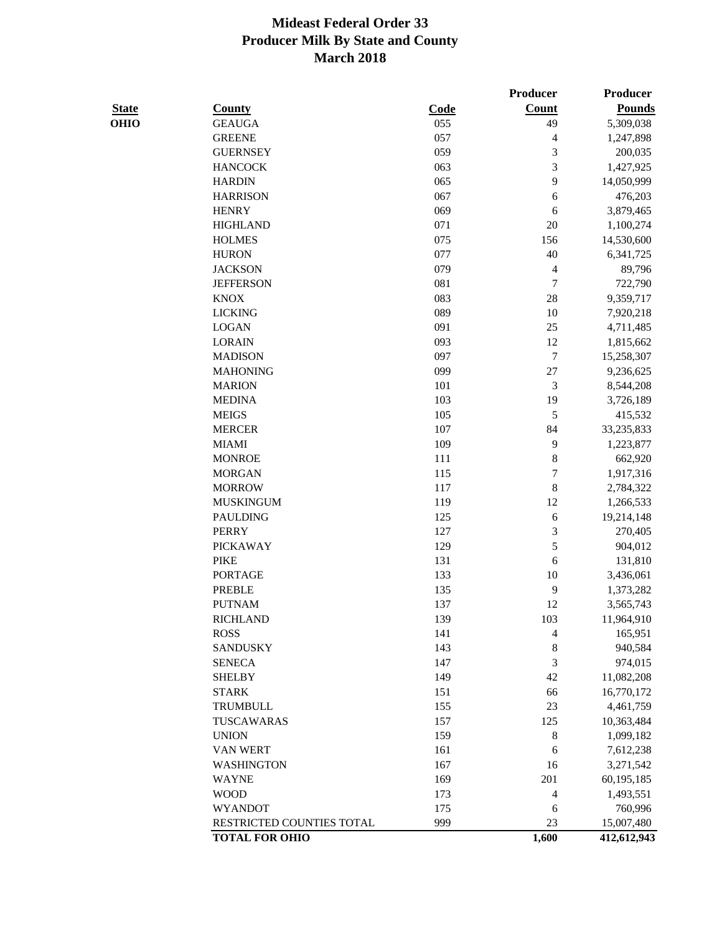|              |                                             |            | Producer                 | Producer              |
|--------------|---------------------------------------------|------------|--------------------------|-----------------------|
| <b>State</b> | <b>County</b>                               | Code       | <b>Count</b>             | <b>Pounds</b>         |
| OHIO         | <b>GEAUGA</b>                               | 055        | 49                       | 5,309,038             |
|              | <b>GREENE</b>                               | 057        | $\overline{\mathcal{A}}$ | 1,247,898             |
|              | <b>GUERNSEY</b>                             | 059        | $\mathfrak{Z}$           | 200,035               |
|              | <b>HANCOCK</b>                              | 063        | $\mathfrak{Z}$           | 1,427,925             |
|              | <b>HARDIN</b>                               | 065        | 9                        | 14,050,999            |
|              | <b>HARRISON</b>                             | 067        | 6                        | 476,203               |
|              | <b>HENRY</b>                                | 069        | 6                        | 3,879,465             |
|              | <b>HIGHLAND</b>                             | 071        | $20\,$                   | 1,100,274             |
|              | <b>HOLMES</b>                               | 075        | 156                      | 14,530,600            |
|              | <b>HURON</b>                                | 077        | 40                       | 6,341,725             |
|              | <b>JACKSON</b>                              | 079        | 4                        | 89,796                |
|              | <b>JEFFERSON</b>                            | 081        | 7                        | 722,790               |
|              | <b>KNOX</b>                                 | 083        | $28\,$                   | 9,359,717             |
|              | <b>LICKING</b>                              | 089        | 10                       | 7,920,218             |
|              | <b>LOGAN</b>                                | 091        | 25                       | 4,711,485             |
|              | <b>LORAIN</b>                               | 093        | 12                       | 1,815,662             |
|              | <b>MADISON</b>                              | 097        | 7                        | 15,258,307            |
|              | <b>MAHONING</b>                             | 099        |                          |                       |
|              |                                             |            | 27                       | 9,236,625             |
|              | <b>MARION</b>                               | 101        | 3                        | 8,544,208             |
|              | <b>MEDINA</b>                               | 103        | 19                       | 3,726,189             |
|              | <b>MEIGS</b>                                | 105        | 5                        | 415,532               |
|              | <b>MERCER</b>                               | 107        | 84                       | 33,235,833            |
|              | <b>MIAMI</b>                                | 109        | $\overline{9}$           | 1,223,877             |
|              | <b>MONROE</b>                               | 111        | $\,8$                    | 662,920               |
|              | <b>MORGAN</b>                               | 115        | $\boldsymbol{7}$         | 1,917,316             |
|              | <b>MORROW</b>                               | 117        | $\,$ 8 $\,$              | 2,784,322             |
|              | <b>MUSKINGUM</b>                            | 119        | 12                       | 1,266,533             |
|              | <b>PAULDING</b>                             | 125        | $\sqrt{6}$               | 19,214,148            |
|              | <b>PERRY</b>                                | 127        | $\mathfrak{Z}$           | 270,405               |
|              | <b>PICKAWAY</b>                             | 129        | 5                        | 904,012               |
|              | <b>PIKE</b>                                 | 131        | 6                        | 131,810               |
|              | <b>PORTAGE</b>                              | 133        | 10                       | 3,436,061             |
|              | <b>PREBLE</b>                               | 135        | 9                        | 1,373,282             |
|              | <b>PUTNAM</b>                               | 137        | 12                       | 3,565,743             |
|              | <b>RICHLAND</b>                             | 139        | 103                      | 11,964,910            |
|              | <b>ROSS</b>                                 | 141        | 4                        | 165,951               |
|              | <b>SANDUSKY</b>                             | 143        | $\,8$                    | 940,584               |
|              | <b>SENECA</b>                               | 147        | 3                        | 974,015               |
|              | <b>SHELBY</b>                               | 149        | 42                       | 11,082,208            |
|              | <b>STARK</b>                                | 151        | 66                       | 16,770,172            |
|              | <b>TRUMBULL</b>                             | 155        | 23                       | 4,461,759             |
|              | TUSCAWARAS                                  | 157        | 125                      | 10,363,484            |
|              | <b>UNION</b>                                | 159        | $\,8$                    | 1,099,182             |
|              | <b>VAN WERT</b>                             | 161        | 6                        | 7,612,238             |
|              | <b>WASHINGTON</b>                           | 167        | 16                       | 3,271,542             |
|              | <b>WAYNE</b>                                | 169        | 201                      | 60,195,185            |
|              | <b>WOOD</b>                                 | 173        | 4                        | 1,493,551             |
|              |                                             |            |                          |                       |
|              |                                             |            |                          |                       |
|              | <b>WYANDOT</b><br>RESTRICTED COUNTIES TOTAL | 175<br>999 | 6<br>23                  | 760,996<br>15,007,480 |